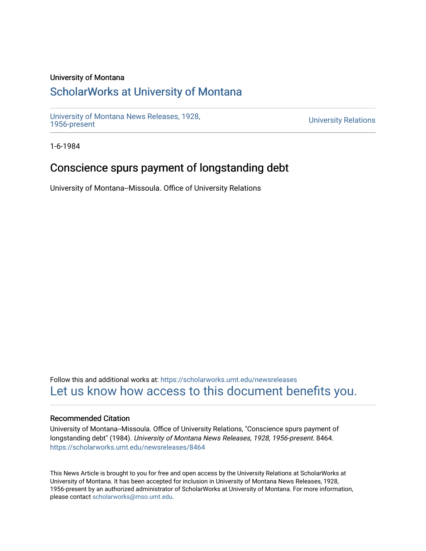## University of Montana

## [ScholarWorks at University of Montana](https://scholarworks.umt.edu/)

[University of Montana News Releases, 1928,](https://scholarworks.umt.edu/newsreleases) 

**University Relations** 

1-6-1984

## Conscience spurs payment of longstanding debt

University of Montana--Missoula. Office of University Relations

Follow this and additional works at: [https://scholarworks.umt.edu/newsreleases](https://scholarworks.umt.edu/newsreleases?utm_source=scholarworks.umt.edu%2Fnewsreleases%2F8464&utm_medium=PDF&utm_campaign=PDFCoverPages) [Let us know how access to this document benefits you.](https://goo.gl/forms/s2rGfXOLzz71qgsB2) 

## Recommended Citation

University of Montana--Missoula. Office of University Relations, "Conscience spurs payment of longstanding debt" (1984). University of Montana News Releases, 1928, 1956-present. 8464. [https://scholarworks.umt.edu/newsreleases/8464](https://scholarworks.umt.edu/newsreleases/8464?utm_source=scholarworks.umt.edu%2Fnewsreleases%2F8464&utm_medium=PDF&utm_campaign=PDFCoverPages) 

This News Article is brought to you for free and open access by the University Relations at ScholarWorks at University of Montana. It has been accepted for inclusion in University of Montana News Releases, 1928, 1956-present by an authorized administrator of ScholarWorks at University of Montana. For more information, please contact [scholarworks@mso.umt.edu.](mailto:scholarworks@mso.umt.edu)